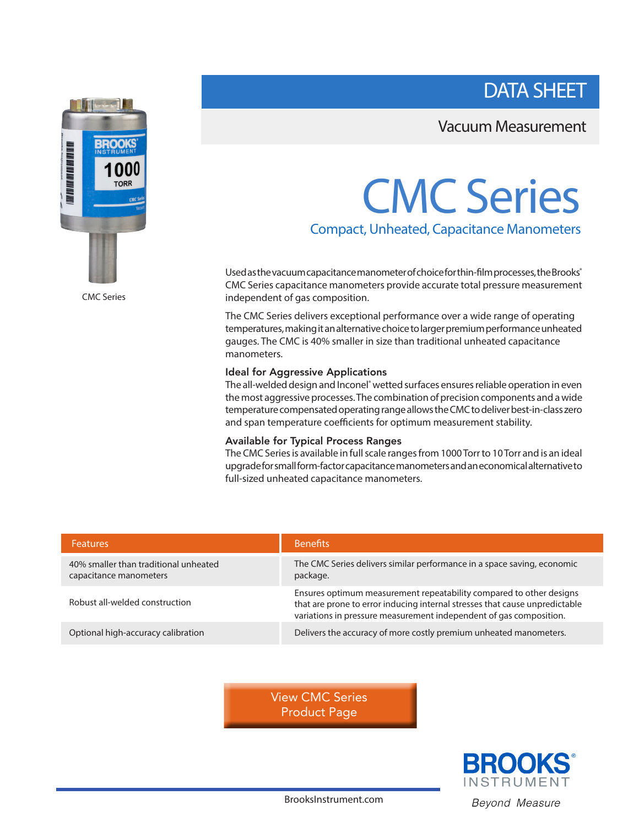DATA SHEET

# **BROOKS** ITAL KAI TAH INI BIT BAT HA IBN AN 000 **TORR**

CMC Series

## Vacuum Measurement

# CMC Series

Compact, Unheated, Capacitance Manometers

Used as the vacuum capacitance manometer of choice for thin-film processes, the Brooks® CMC Series capacitance manometers provide accurate total pressure measurement independent of gas composition.

The CMC Series delivers exceptional performance over a wide range of operating temperatures, making it an alternative choice to larger premium performance unheated gauges. The CMC is 40% smaller in size than traditional unheated capacitance manometers.

### Ideal for Aggressive Applications

The all-welded design and Inconel<sup>®</sup> wetted surfaces ensures reliable operation in even the most aggressive processes. The combination of precision components and a wide temperature compensated operating range allows the CMC to deliver best-in-class zero and span temperature coefficients for optimum measurement stability.

## Available for Typical Process Ranges

The CMC Series is available in full scale ranges from 1000 Torr to 10 Torr and is an ideal upgrade for small form-factor capacitance manometers and an economical alternative to full-sized unheated capacitance manometers.

| <b>Features</b>                                                 | <b>Benefits</b>                                                                                                                                                                                                          |
|-----------------------------------------------------------------|--------------------------------------------------------------------------------------------------------------------------------------------------------------------------------------------------------------------------|
| 40% smaller than traditional unheated<br>capacitance manometers | The CMC Series delivers similar performance in a space saving, economic<br>package.                                                                                                                                      |
| Robust all-welded construction                                  | Ensures optimum measurement repeatability compared to other designs<br>that are prone to error inducing internal stresses that cause unpredictable<br>variations in pressure measurement independent of gas composition. |
| Optional high-accuracy calibration                              | Delivers the accuracy of more costly premium unheated manometers.                                                                                                                                                        |

[View CMC Series](https://www.brooksinstrument.com/en/products/pressure-vacuum/capacitance-manometers/cmc-series) Product Page



BrooksInstrument.com Beyond Measure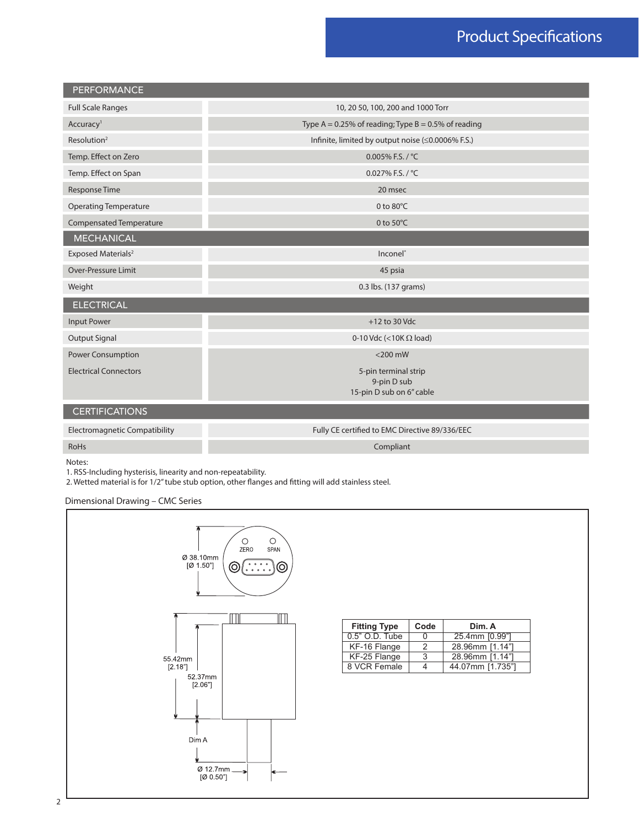## Product Specifications

| <b>PERFORMANCE</b>                   |                                                                 |  |  |  |
|--------------------------------------|-----------------------------------------------------------------|--|--|--|
| <b>Full Scale Ranges</b>             | 10, 20 50, 100, 200 and 1000 Torr                               |  |  |  |
| Accuracy <sup>1</sup>                | Type A = 0.25% of reading; Type B = 0.5% of reading             |  |  |  |
| Resolution <sup>2</sup>              | Infinite, limited by output noise (≤0.0006% F.S.)               |  |  |  |
| Temp. Effect on Zero                 | 0.005% F.S. / °C                                                |  |  |  |
| Temp. Effect on Span                 | 0.027% F.S. / °C                                                |  |  |  |
| <b>Response Time</b>                 | 20 msec                                                         |  |  |  |
| <b>Operating Temperature</b>         | 0 to $80^{\circ}$ C                                             |  |  |  |
| Compensated Temperature              | 0 to 50°C                                                       |  |  |  |
| <b>MECHANICAL</b>                    |                                                                 |  |  |  |
| Exposed Materials <sup>2</sup>       | Inconel <sup>®</sup>                                            |  |  |  |
| <b>Over-Pressure Limit</b>           | 45 psia                                                         |  |  |  |
| Weight                               | 0.3 lbs. (137 grams)                                            |  |  |  |
| <b>ELECTRICAL</b>                    |                                                                 |  |  |  |
| <b>Input Power</b>                   | $+12$ to 30 Vdc                                                 |  |  |  |
| <b>Output Signal</b>                 | 0-10 Vdc (<10K $\Omega$ load)                                   |  |  |  |
| Power Consumption                    | $<$ 200 mW                                                      |  |  |  |
| <b>Electrical Connectors</b>         | 5-pin terminal strip<br>9-pin D sub<br>15-pin D sub on 6" cable |  |  |  |
| <b>CERTIFICATIONS</b>                |                                                                 |  |  |  |
| <b>Electromagnetic Compatibility</b> | Fully CE certified to EMC Directive 89/336/EEC                  |  |  |  |
| <b>RoHs</b>                          | Compliant                                                       |  |  |  |

Notes:

1. RSS-Including hysterisis, linearity and non-repeatability.

2. Wetted material is for 1/2" tube stub option, other flanges and fitting will add stainless steel.

Dimensional Drawing – CMC Series

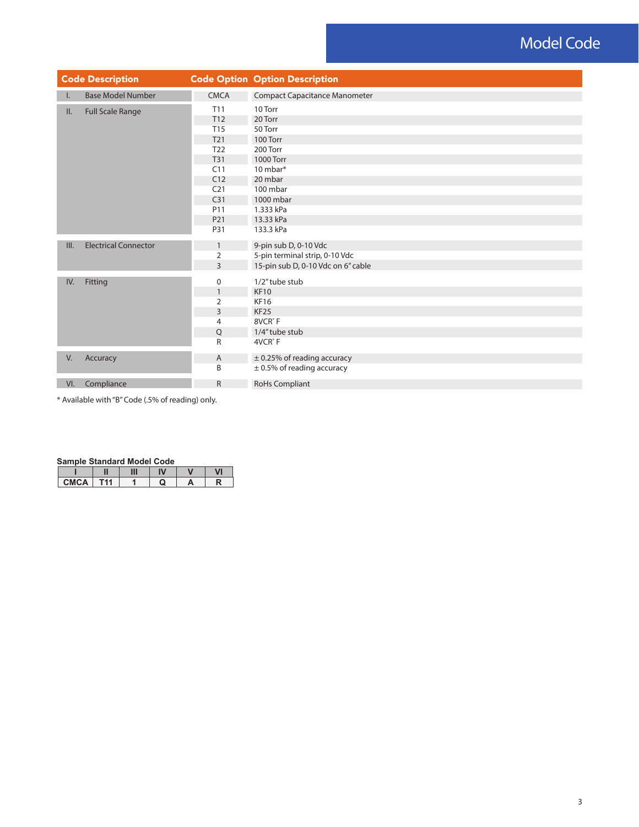## Model Code

|      | <b>Code Description</b>     |                                    | <b>Code Option Option Description</b> |  |  |  |  |
|------|-----------------------------|------------------------------------|---------------------------------------|--|--|--|--|
| Ι.   | <b>Base Model Number</b>    | <b>CMCA</b>                        | <b>Compact Capacitance Manometer</b>  |  |  |  |  |
| II.  | <b>Full Scale Range</b>     | T <sub>11</sub>                    | 10 Torr                               |  |  |  |  |
|      |                             | T <sub>12</sub>                    | 20 Torr                               |  |  |  |  |
|      |                             | T15                                | 50 Torr                               |  |  |  |  |
|      |                             | T21                                | 100 Torr                              |  |  |  |  |
|      |                             | T <sub>22</sub>                    | 200 Torr                              |  |  |  |  |
|      |                             | T31                                | 1000 Torr                             |  |  |  |  |
|      |                             | C11                                | 10 mbar*                              |  |  |  |  |
|      | C12                         | 20 mbar                            |                                       |  |  |  |  |
|      |                             | C <sub>21</sub>                    | 100 mbar                              |  |  |  |  |
|      |                             | C <sub>31</sub>                    | 1000 mbar                             |  |  |  |  |
|      | P11                         | 1.333 kPa                          |                                       |  |  |  |  |
|      |                             | P21                                | 13.33 kPa                             |  |  |  |  |
|      |                             | P31                                | 133.3 kPa                             |  |  |  |  |
| III. | <b>Electrical Connector</b> | $\mathbf{1}$                       | 9-pin sub D, 0-10 Vdc                 |  |  |  |  |
|      |                             | 2                                  | 5-pin terminal strip, 0-10 Vdc        |  |  |  |  |
|      | $\overline{3}$              | 15-pin sub D, 0-10 Vdc on 6" cable |                                       |  |  |  |  |
| IV.  | Fitting                     | 0                                  | 1/2" tube stub                        |  |  |  |  |
|      |                             | $\mathbf{1}$                       | <b>KF10</b>                           |  |  |  |  |
|      |                             | $\overline{2}$                     | <b>KF16</b>                           |  |  |  |  |
|      |                             | 3                                  | <b>KF25</b>                           |  |  |  |  |
|      |                             | 4                                  | 8VCR <sup>®</sup> F                   |  |  |  |  |
|      |                             | Q                                  | 1/4" tube stub                        |  |  |  |  |
|      |                             | R                                  | 4VCR <sup>®</sup> F                   |  |  |  |  |
| V.   | Accuracy                    | Α                                  | $\pm$ 0.25% of reading accuracy       |  |  |  |  |
|      |                             | B                                  | $\pm$ 0.5% of reading accuracy        |  |  |  |  |
| VI.  | Compliance                  | $\mathsf R$                        | RoHs Compliant                        |  |  |  |  |

\* Available with "B" Code (.5% of reading) only.

#### **Sample Standard Model Code**

|             |     | Ш | IV | $\cdot$ | VI |
|-------------|-----|---|----|---------|----|
| <b>CMCA</b> | -11 |   | ω  | A       |    |